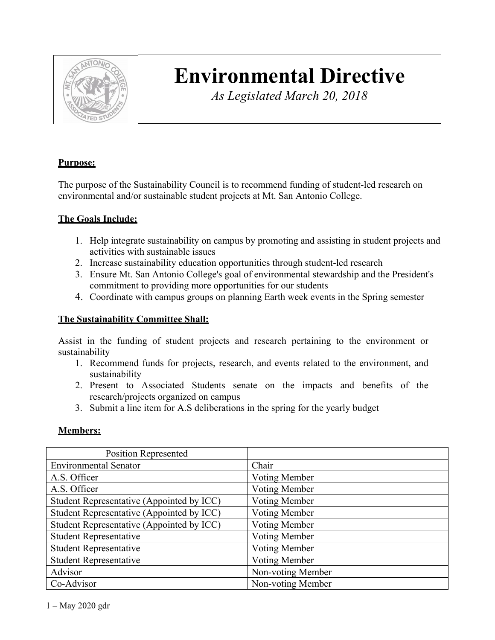

# **Environmental Directive**

*As Legislated March 20, 2018*

# **Purpose:**

The purpose of the Sustainability Council is to recommend funding of student-led research on environmental and/or sustainable student projects at Mt. San Antonio College.

# **The Goals Include:**

- 1. Help integrate sustainability on campus by promoting and assisting in student projects and activities with sustainable issues
- 2. Increase sustainability education opportunities through student-led research
- 3. Ensure Mt. San Antonio College's goal of environmental stewardship and the President's commitment to providing more opportunities for our students
- 4. Coordinate with campus groups on planning Earth week events in the Spring semester

# **The Sustainability Committee Shall:**

Assist in the funding of student projects and research pertaining to the environment or sustainability

- 1. Recommend funds for projects, research, and events related to the environment, and sustainability
- 2. Present to Associated Students senate on the impacts and benefits of the research/projects organized on campus
- 3. Submit a line item for A.S deliberations in the spring for the yearly budget

#### **Members:**

| <b>Position Represented</b>               |                      |  |  |
|-------------------------------------------|----------------------|--|--|
| <b>Environmental Senator</b>              | Chair                |  |  |
| A.S. Officer                              | Voting Member        |  |  |
| A.S. Officer                              | Voting Member        |  |  |
| Student Representative (Appointed by ICC) | <b>Voting Member</b> |  |  |
| Student Representative (Appointed by ICC) | <b>Voting Member</b> |  |  |
| Student Representative (Appointed by ICC) | Voting Member        |  |  |
| <b>Student Representative</b>             | <b>Voting Member</b> |  |  |
| <b>Student Representative</b>             | <b>Voting Member</b> |  |  |
| <b>Student Representative</b>             | Voting Member        |  |  |
| Advisor                                   | Non-voting Member    |  |  |
| Co-Advisor                                | Non-voting Member    |  |  |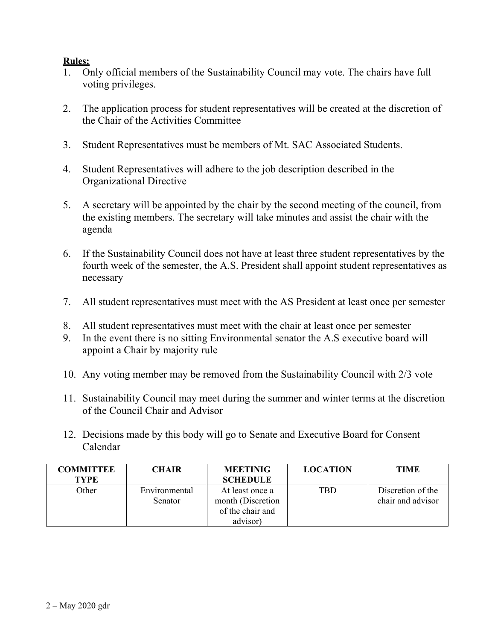## **Rules:**

- 1. Only official members of the Sustainability Council may vote. The chairs have full voting privileges.
- 2. The application process for student representatives will be created at the discretion of the Chair of the Activities Committee
- 3. Student Representatives must be members of Mt. SAC Associated Students.
- 4. Student Representatives will adhere to the job description described in the Organizational Directive
- 5. A secretary will be appointed by the chair by the second meeting of the council, from the existing members. The secretary will take minutes and assist the chair with the agenda
- 6. If the Sustainability Council does not have at least three student representatives by the fourth week of the semester, the A.S. President shall appoint student representatives as necessary
- 7. All student representatives must meet with the AS President at least once per semester
- 8. All student representatives must meet with the chair at least once per semester
- 9. In the event there is no sitting Environmental senator the A.S executive board will appoint a Chair by majority rule
- 10. Any voting member may be removed from the Sustainability Council with 2/3 vote
- 11. Sustainability Council may meet during the summer and winter terms at the discretion of the Council Chair and Advisor
- 12. Decisions made by this body will go to Senate and Executive Board for Consent Calendar

| <b>COMMITTEE</b> | <b>CHAIR</b>  | <b>MEETINIG</b>    | <b>LOCATION</b> | <b>TIME</b>       |
|------------------|---------------|--------------------|-----------------|-------------------|
| <b>TYPE</b>      |               | <b>SCHEDULE</b>    |                 |                   |
| Other            | Environmental | At least once a    | <b>TBD</b>      | Discretion of the |
|                  | Senator       | month (Discretion) |                 | chair and advisor |
|                  |               | of the chair and   |                 |                   |
|                  |               | advisor)           |                 |                   |